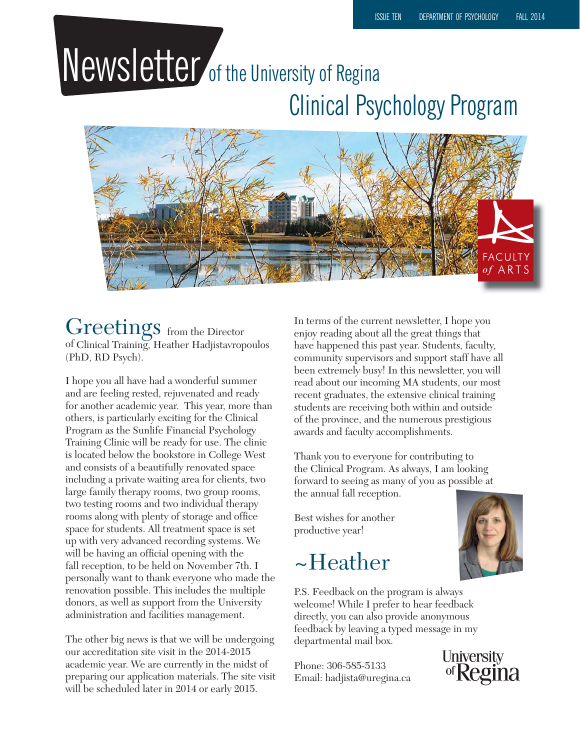# Newsletter of the University of Regina Clinical Psychology Program



### Greetings from the Director of Clinical Training, Heather Hadjistavropoulos (PhD, RD Psych).

I hope you all have had a wonderful summer and are feeling rested, rejuvenated and ready for another academic year. This year, more than others, is particularly exciting for the Clinical Program as the Sunlife Financial Psychology Training Clinic will be ready for use. The clinic is located below the bookstore in College West and consists of a beautifully renovated space including a private waiting area for clients, two large family therapy rooms, two group rooms, two testing rooms and two individual therapy rooms along with plenty of storage and office space for students. All treatment space is set up with very advanced recording systems. We will be having an official opening with the fall reception, to be held on November 7th. I personally want to thank everyone who made the renovation possible. This includes the multiple donors, as well as support from the University administration and facilities management.

The other big news is that we will be undergoing our accreditation site visit in the 2014-2015 academic year. We are currently in the midst of preparing our application materials. The site visit will be scheduled later in 2014 or early 2015.

In terms of the current newsletter, I hope you enjoy reading about all the great things that have happened this past year. Students, faculty, community supervisors and support staff have all been extremely busy! In this newsletter, you will read about our incoming MA students, our most recent graduates, the extensive clinical training students are receiving both within and outside of the province, and the numerous prestigious awards and faculty accomplishments.

Thank you to everyone for contributing to the Clinical Program. As always, I am looking forward to seeing as many of you as possible at the annual fall reception.

Best wishes for another productive year!

# ~Heather



Phone: 306-585-5133 Email: hadjista@uregina.ca



**University** of Regina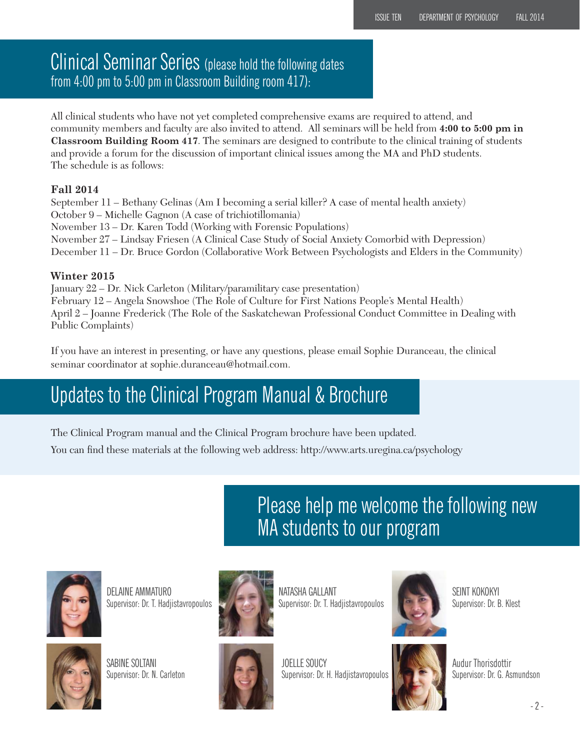### Clinical Seminar Series (please hold the following dates from 4:00 pm to 5:00 pm in Classroom Building room 417):

All clinical students who have not yet completed comprehensive exams are required to attend, and community members and faculty are also invited to attend. All seminars will be held from **4:00 to 5:00 pm in Classroom Building Room 417**. The seminars are designed to contribute to the clinical training of students and provide a forum for the discussion of important clinical issues among the MA and PhD students. The schedule is as follows:

#### **Fall 2014**

September 11 – Bethany Gelinas (Am I becoming a serial killer? A case of mental health anxiety) October 9 – Michelle Gagnon (A case of trichiotillomania) November 13 – Dr. Karen Todd (Working with Forensic Populations) November 27 – Lindsay Friesen (A Clinical Case Study of Social Anxiety Comorbid with Depression) December 11 – Dr. Bruce Gordon (Collaborative Work Between Psychologists and Elders in the Community)

#### **Winter 2015**

January 22 – Dr. Nick Carleton (Military/paramilitary case presentation) February 12 – Angela Snowshoe (The Role of Culture for First Nations People's Mental Health) April 2 – Joanne Frederick (The Role of the Saskatchewan Professional Conduct Committee in Dealing with Public Complaints)

If you have an interest in presenting, or have any questions, please email Sophie Duranceau, the clinical seminar coordinator at sophie.duranceau@hotmail.com.

## Updates to the Clinical Program Manual & Brochure

The Clinical Program manual and the Clinical Program brochure have been updated. You can find these materials at the following web address: http://www.arts.uregina.ca/psychology

> Please help me welcome the following new MA students to our program



DELAINE AMMATURO Supervisor: Dr. T. Hadjistavropoulos



SABINE SOLTANI Supervisor: Dr. N. Carleton



NATASHA GALLANT Supervisor: Dr. T. Hadjistavropoulos



SEINT KOKOKYI Supervisor: Dr. B. Klest

JOELLE SOUCY Supervisor: Dr. H. Hadjistavropoulos



Audur Thorisdottir Supervisor: Dr. G. Asmundson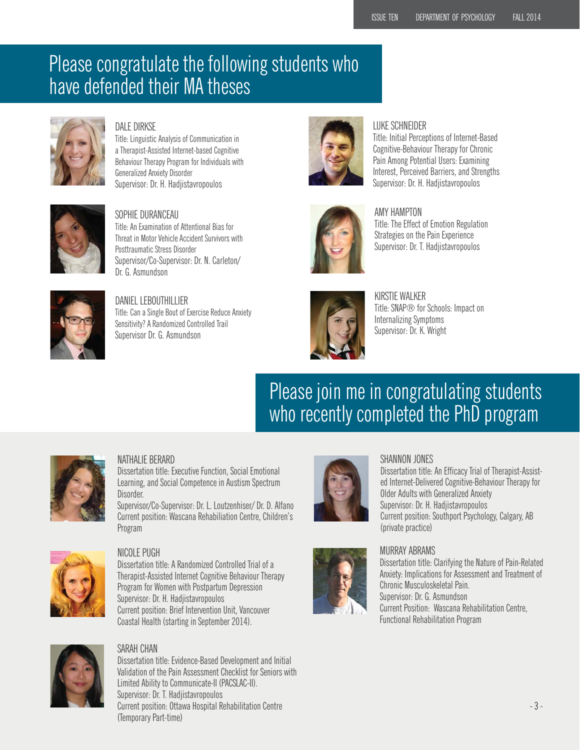## Please congratulate the following students who have defended their MA theses



#### DAI F DIRKSF

Title: Linguistic Analysis of Communication in a Therapist-Assisted Internet-based Cognitive Behaviour Therapy Program for Individuals with Generalized Anxiety Disorder Supervisor: Dr. H. Hadjistavropoulos



#### SOPHIE DURANCEAU Title: An Examination of Attentional Bias for

Threat in Motor Vehicle Accident Survivors with Posttraumatic Stress Disorder Supervisor/Co-Supervisor: Dr. N. Carleton/ Dr. G. Asmundson



#### DANIEL LEBOUTHILLIER Title: Can a Single Bout of Exercise Reduce Anxiety Sensitivity? A Randomized Controlled Trail Supervisor Dr. G. Asmundson



#### LUKE SCHNEIDER

Title: Initial Perceptions of Internet-Based Cognitive-Behaviour Therapy for Chronic Pain Among Potential Users: Examining Interest, Perceived Barriers, and Strengths Supervisor: Dr. H. Hadjistavropoulos



#### AMY HAMPTON

Title: The Effect of Emotion Regulation Strategies on the Pain Experience Supervisor: Dr. T. Hadjistavropoulos



KIRSTIE WALKER Title: SNAP® for Schools: Impact on Internalizing Symptoms Supervisor: Dr. K. Wright

# Please join me in congratulating students who recently completed the PhD program



#### NATHALIE BERARD

Dissertation title: Executive Function, Social Emotional Learning, and Social Competence in Austism Spectrum Disorder.

Supervisor/Co-Supervisor: Dr. L. Loutzenhiser/ Dr. D. Alfano Current position: Wascana Rehabiliation Centre, Children's Program



#### NICOLE PUGH

Dissertation title: A Randomized Controlled Trial of a Therapist-Assisted Internet Cognitive Behaviour Therapy Program for Women with Postpartum Depression Supervisor: Dr. H. Hadjistavropoulos Current position: Brief Intervention Unit, Vancouver Coastal Health (starting in September 2014).



#### SARAH CHAN

Dissertation title: Evidence-Based Development and Initial Validation of the Pain Assessment Checklist for Seniors with Limited Ability to Communicate-II (PACSLAC-II). Supervisor: Dr. T. Hadjistavropoulos Current position: Ottawa Hospital Rehabilitation Centre (Temporary Part-time)



#### SHANNON JONES

Dissertation title: An Efficacy Trial of Therapist-Assisted Internet-Delivered Cognitive-Behaviour Therapy for Older Adults with Generalized Anxiety Supervisor: Dr. H. Hadjistavropoulos Current position: Southport Psychology, Calgary, AB (private practice)

## MURRAY ABRAMS

Dissertation title: Clarifying the Nature of Pain-Related Anxiety: Implications for Assessment and Treatment of Chronic Musculoskeletal Pain. Supervisor: Dr. G. Asmundson Current Position: Wascana Rehabilitation Centre, Functional Rehabilitation Program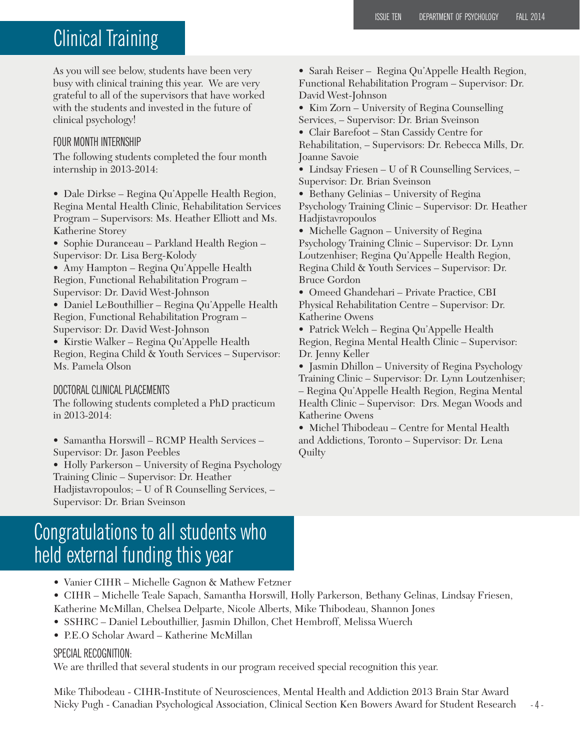### Clinical Training

As you will see below, students have been very busy with clinical training this year. We are very grateful to all of the supervisors that have worked with the students and invested in the future of clinical psychology!

#### FOUR MONTH INTERNSHIP

The following students completed the four month internship in 2013-2014:

• Dale Dirkse – Regina Qu'Appelle Health Region, Regina Mental Health Clinic, Rehabilitation Services Program – Supervisors: Ms. Heather Elliott and Ms. Katherine Storey

• Sophie Duranceau – Parkland Health Region – Supervisor: Dr. Lisa Berg-Kolody

• Amy Hampton – Regina Qu'Appelle Health Region, Functional Rehabilitation Program – Supervisor: Dr. David West-Johnson

• Daniel LeBouthillier – Regina Qu'Appelle Health Region, Functional Rehabilitation Program – Supervisor: Dr. David West-Johnson

• Kirstie Walker – Regina Qu'Appelle Health Region, Regina Child & Youth Services – Supervisor: Ms. Pamela Olson

#### DOCTORAL CLINICAL PLACEMENTS

The following students completed a PhD practicum in 2013-2014:

• Samantha Horswill – RCMP Health Services – Supervisor: Dr. Jason Peebles

• Holly Parkerson – University of Regina Psychology Training Clinic – Supervisor: Dr. Heather Hadjistavropoulos; – U of R Counselling Services, – Supervisor: Dr. Brian Sveinson

### Congratulations to all students who held external funding this year

- Vanier CIHR Michelle Gagnon & Mathew Fetzner
- CIHR Michelle Teale Sapach, Samantha Horswill, Holly Parkerson, Bethany Gelinas, Lindsay Friesen,
- Katherine McMillan, Chelsea Delparte, Nicole Alberts, Mike Thibodeau, Shannon Jones
- SSHRC Daniel Lebouthillier, Jasmin Dhillon, Chet Hembroff, Melissa Wuerch
- P.E.O Scholar Award Katherine McMillan

#### SPECIAL RECOGNITION:

We are thrilled that several students in our program received special recognition this year.

- 4 - Mike Thibodeau - CIHR-Institute of Neurosciences, Mental Health and Addiction 2013 Brain Star Award Nicky Pugh - Canadian Psychological Association, Clinical Section Ken Bowers Award for Student Research

• Sarah Reiser – Regina Qu'Appelle Health Region, Functional Rehabilitation Program – Supervisor: Dr. David West-Johnson

• Kim Zorn – University of Regina Counselling Services, – Supervisor: Dr. Brian Sveinson

• Clair Barefoot – Stan Cassidy Centre for

Rehabilitation, – Supervisors: Dr. Rebecca Mills, Dr. Joanne Savoie

• Lindsay Friesen – U of R Counselling Services, – Supervisor: Dr. Brian Sveinson

• Bethany Gelinias – University of Regina Psychology Training Clinic – Supervisor: Dr. Heather Hadjistavropoulos

• Michelle Gagnon – University of Regina Psychology Training Clinic – Supervisor: Dr. Lynn Loutzenhiser; Regina Qu'Appelle Health Region, Regina Child & Youth Services – Supervisor: Dr. Bruce Gordon

• Omeed Ghandehari – Private Practice, CBI Physical Rehabilitation Centre – Supervisor: Dr. Katherine Owens

• Patrick Welch – Regina Qu'Appelle Health Region, Regina Mental Health Clinic – Supervisor: Dr. Jenny Keller

• Jasmin Dhillon – University of Regina Psychology Training Clinic – Supervisor: Dr. Lynn Loutzenhiser; – Regina Qu'Appelle Health Region, Regina Mental Health Clinic – Supervisor: Drs. Megan Woods and Katherine Owens

• Michel Thibodeau – Centre for Mental Health and Addictions, Toronto – Supervisor: Dr. Lena **Quilty**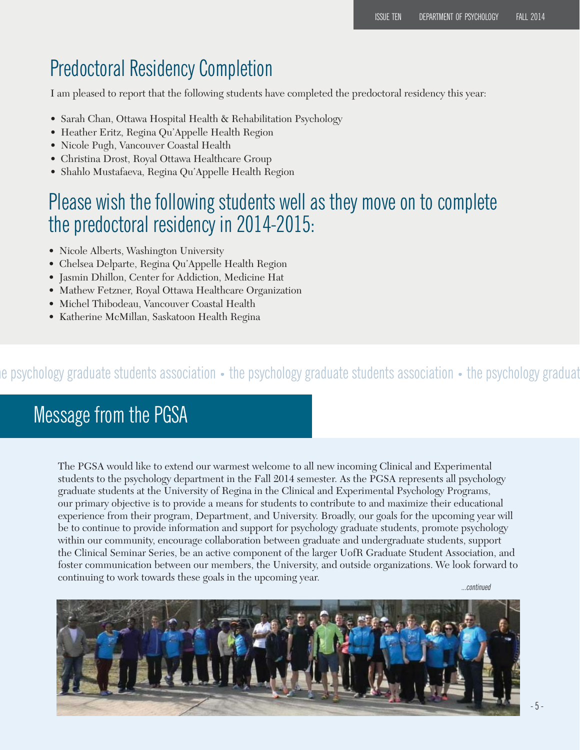### Predoctoral Residency Completion

I am pleased to report that the following students have completed the predoctoral residency this year:

- Sarah Chan, Ottawa Hospital Health & Rehabilitation Psychology
- Heather Eritz, Regina Qu'Appelle Health Region
- Nicole Pugh, Vancouver Coastal Health
- Christina Drost, Royal Ottawa Healthcare Group
- Shahlo Mustafaeva, Regina Qu'Appelle Health Region

### Please wish the following students well as they move on to complete the predoctoral residency in 2014-2015:

- Nicole Alberts, Washington University
- Chelsea Delparte, Regina Qu'Appelle Health Region
- Jasmin Dhillon, Center for Addiction, Medicine Hat
- Mathew Fetzner, Royal Ottawa Healthcare Organization
- Michel Thibodeau, Vancouver Coastal Health
- Katherine McMillan, Saskatoon Health Regina

### he psychology graduate students association • the psychology graduate students association • the psychology graduat

### Message from the PGSA

The PGSA would like to extend our warmest welcome to all new incoming Clinical and Experimental students to the psychology department in the Fall 2014 semester. As the PGSA represents all psychology graduate students at the University of Regina in the Clinical and Experimental Psychology Programs, our primary objective is to provide a means for students to contribute to and maximize their educational experience from their program, Department, and University. Broadly, our goals for the upcoming year will be to continue to provide information and support for psychology graduate students, promote psychology within our community, encourage collaboration between graduate and undergraduate students, support the Clinical Seminar Series, be an active component of the larger UofR Graduate Student Association, and foster communication between our members, the University, and outside organizations. We look forward to continuing to work towards these goals in the upcoming year.

...continued

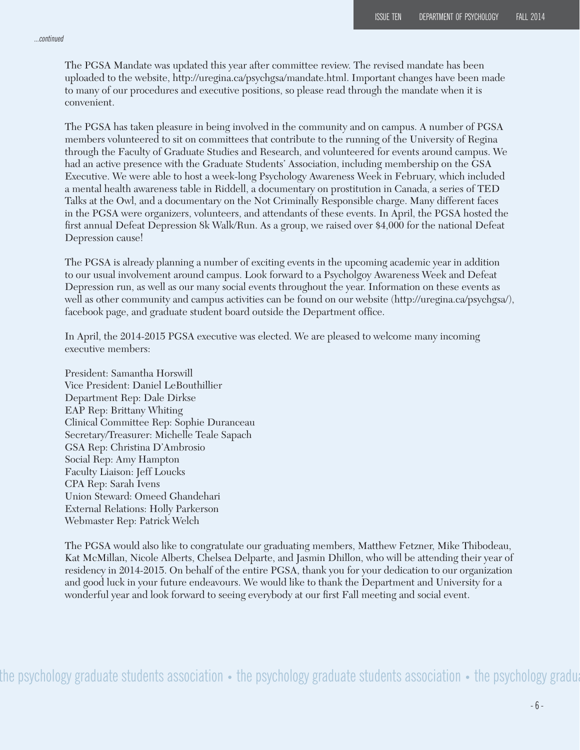#### ...continued

The PGSA Mandate was updated this year after committee review. The revised mandate has been uploaded to the website, http://uregina.ca/psychgsa/mandate.html. Important changes have been made to many of our procedures and executive positions, so please read through the mandate when it is convenient.

The PGSA has taken pleasure in being involved in the community and on campus. A number of PGSA members volunteered to sit on committees that contribute to the running of the University of Regina through the Faculty of Graduate Studies and Research, and volunteered for events around campus. We had an active presence with the Graduate Students' Association, including membership on the GSA Executive. We were able to host a week-long Psychology Awareness Week in February, which included a mental health awareness table in Riddell, a documentary on prostitution in Canada, a series of TED Talks at the Owl, and a documentary on the Not Criminally Responsible charge. Many different faces in the PGSA were organizers, volunteers, and attendants of these events. In April, the PGSA hosted the first annual Defeat Depression 8k Walk/Run. As a group, we raised over \$4,000 for the national Defeat Depression cause!

The PGSA is already planning a number of exciting events in the upcoming academic year in addition to our usual involvement around campus. Look forward to a Psycholgoy Awareness Week and Defeat Depression run, as well as our many social events throughout the year. Information on these events as well as other community and campus activities can be found on our website (http://uregina.ca/psychgsa/), facebook page, and graduate student board outside the Department office.

In April, the 2014-2015 PGSA executive was elected. We are pleased to welcome many incoming executive members:

President: Samantha Horswill Vice President: Daniel LeBouthillier Department Rep: Dale Dirkse EAP Rep: Brittany Whiting Clinical Committee Rep: Sophie Duranceau Secretary/Treasurer: Michelle Teale Sapach GSA Rep: Christina D'Ambrosio Social Rep: Amy Hampton Faculty Liaison: Jeff Loucks CPA Rep: Sarah Ivens Union Steward: Omeed Ghandehari External Relations: Holly Parkerson Webmaster Rep: Patrick Welch

The PGSA would also like to congratulate our graduating members, Matthew Fetzner, Mike Thibodeau, Kat McMillan, Nicole Alberts, Chelsea Delparte, and Jasmin Dhillon, who will be attending their year of residency in 2014-2015. On behalf of the entire PGSA, thank you for your dedication to our organization and good luck in your future endeavours. We would like to thank the Department and University for a wonderful year and look forward to seeing everybody at our first Fall meeting and social event.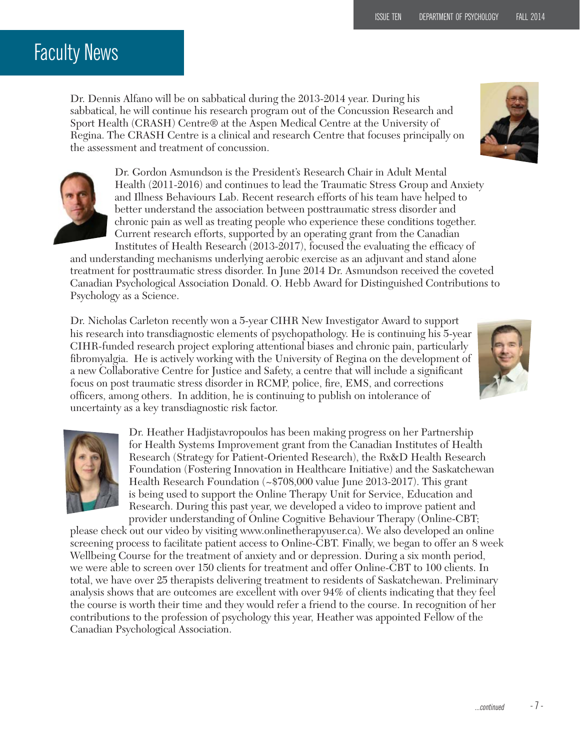### Faculty News

Dr. Dennis Alfano will be on sabbatical during the 2013-2014 year. During his sabbatical, he will continue his research program out of the Concussion Research and Sport Health (CRASH) Centre® at the Aspen Medical Centre at the University of Regina. The CRASH Centre is a clinical and research Centre that focuses principally on the assessment and treatment of concussion.





Dr. Gordon Asmundson is the President's Research Chair in Adult Mental Health (2011-2016) and continues to lead the Traumatic Stress Group and Anxiety and Illness Behaviours Lab. Recent research efforts of his team have helped to better understand the association between posttraumatic stress disorder and chronic pain as well as treating people who experience these conditions together. Current research efforts, supported by an operating grant from the Canadian Institutes of Health Research  $(2013-2017)$ , focused the evaluating the efficacy of

and understanding mechanisms underlying aerobic exercise as an adjuvant and stand alone treatment for posttraumatic stress disorder. In June 2014 Dr. Asmundson received the coveted Canadian Psychological Association Donald. O. Hebb Award for Distinguished Contributions to Psychology as a Science.

Dr. Nicholas Carleton recently won a 5-year CIHR New Investigator Award to support his research into transdiagnostic elements of psychopathology. He is continuing his 5-year CIHR-funded research project exploring attentional biases and chronic pain, particularly fibromyalgia. He is actively working with the University of Regina on the development of a new Collaborative Centre for Justice and Safety, a centre that will include a significant focus on post traumatic stress disorder in RCMP, police, fire, EMS, and corrections offi cers, among others. In addition, he is continuing to publish on intolerance of uncertainty as a key transdiagnostic risk factor.





Dr. Heather Hadjistavropoulos has been making progress on her Partnership for Health Systems Improvement grant from the Canadian Institutes of Health Research (Strategy for Patient-Oriented Research), the Rx&D Health Research Foundation (Fostering Innovation in Healthcare Initiative) and the Saskatchewan Health Research Foundation (~\$708,000 value June 2013-2017). This grant is being used to support the Online Therapy Unit for Service, Education and Research. During this past year, we developed a video to improve patient and provider understanding of Online Cognitive Behaviour Therapy (Online-CBT;

please check out our video by visiting www.onlinetherapyuser.ca). We also developed an online screening process to facilitate patient access to Online-CBT. Finally, we began to offer an 8 week Wellbeing Course for the treatment of anxiety and or depression. During a six month period, we were able to screen over 150 clients for treatment and offer Online-CBT to 100 clients. In total, we have over 25 therapists delivering treatment to residents of Saskatchewan. Preliminary analysis shows that are outcomes are excellent with over 94% of clients indicating that they feel the course is worth their time and they would refer a friend to the course. In recognition of her contributions to the profession of psychology this year, Heather was appointed Fellow of the Canadian Psychological Association.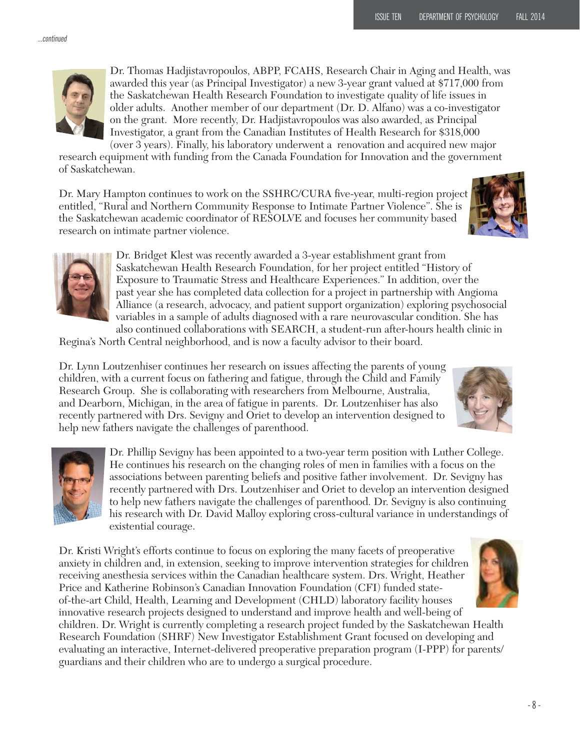

Dr. Thomas Hadjistavropoulos, ABPP, FCAHS, Research Chair in Aging and Health, was awarded this year (as Principal Investigator) a new 3-year grant valued at \$717,000 from the Saskatchewan Health Research Foundation to investigate quality of life issues in older adults. Another member of our department (Dr. D. Alfano) was a co-investigator on the grant. More recently, Dr. Hadjistavropoulos was also awarded, as Principal Investigator, a grant from the Canadian Institutes of Health Research for \$318,000 (over 3 years). Finally, his laboratory underwent a renovation and acquired new major

research equipment with funding from the Canada Foundation for Innovation and the government of Saskatchewan.

Dr. Mary Hampton continues to work on the SSHRC/CURA five-year, multi-region project entitled, "Rural and Northern Community Response to Intimate Partner Violence". She is the Saskatchewan academic coordinator of RESOLVE and focuses her community based research on intimate partner violence.





Dr. Bridget Klest was recently awarded a 3-year establishment grant from Saskatchewan Health Research Foundation, for her project entitled "History of Exposure to Traumatic Stress and Healthcare Experiences." In addition, over the past year she has completed data collection for a project in partnership with Angioma Alliance (a research, advocacy, and patient support organization) exploring psychosocial variables in a sample of adults diagnosed with a rare neurovascular condition. She has also continued collaborations with SEARCH, a student-run after-hours health clinic in

Regina's North Central neighborhood, and is now a faculty advisor to their board.

Dr. Lynn Loutzenhiser continues her research on issues affecting the parents of young children, with a current focus on fathering and fatigue, through the Child and Family Research Group. She is collaborating with researchers from Melbourne, Australia, and Dearborn, Michigan, in the area of fatigue in parents. Dr. Loutzenhiser has also recently partnered with Drs. Sevigny and Oriet to develop an intervention designed to help new fathers navigate the challenges of parenthood.





Dr. Phillip Sevigny has been appointed to a two-year term position with Luther College. He continues his research on the changing roles of men in families with a focus on the associations between parenting beliefs and positive father involvement. Dr. Sevigny has recently partnered with Drs. Loutzenhiser and Oriet to develop an intervention designed to help new fathers navigate the challenges of parenthood. Dr. Sevigny is also continuing his research with Dr. David Malloy exploring cross-cultural variance in understandings of existential courage.

Dr. Kristi Wright's efforts continue to focus on exploring the many facets of preoperative anxiety in children and, in extension, seeking to improve intervention strategies for children receiving anesthesia services within the Canadian healthcare system. Drs. Wright, Heather Price and Katherine Robinson's Canadian Innovation Foundation (CFI) funded stateof-the-art Child, Health, Learning and Development (CHLD) laboratory facility houses innovative research projects designed to understand and improve health and well-being of children. Dr. Wright is currently completing a research project funded by the Saskatchewan Health Research Foundation (SHRF) New Investigator Establishment Grant focused on developing and evaluating an interactive, Internet-delivered preoperative preparation program (I-PPP) for parents/

guardians and their children who are to undergo a surgical procedure.

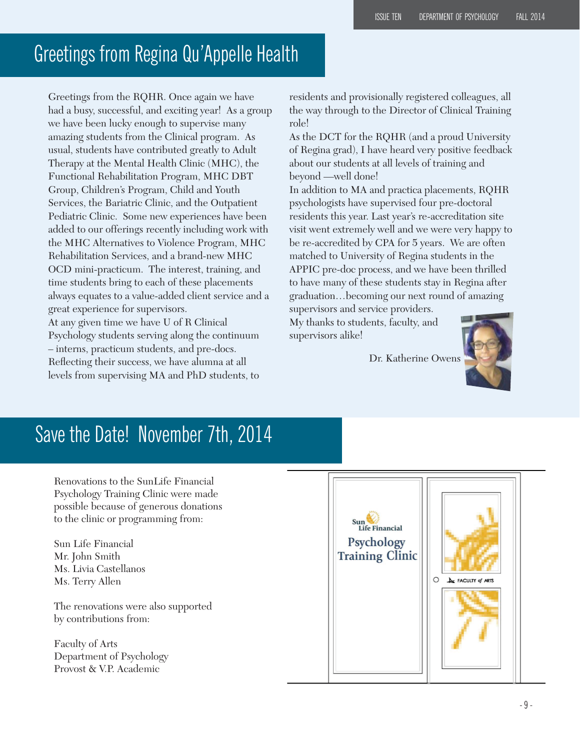### Greetings from Regina Qu'Appelle Health

Greetings from the RQHR. Once again we have had a busy, successful, and exciting year! As a group we have been lucky enough to supervise many amazing students from the Clinical program. As usual, students have contributed greatly to Adult Therapy at the Mental Health Clinic (MHC), the Functional Rehabilitation Program, MHC DBT Group, Children's Program, Child and Youth Services, the Bariatric Clinic, and the Outpatient Pediatric Clinic. Some new experiences have been added to our offerings recently including work with the MHC Alternatives to Violence Program, MHC Rehabilitation Services, and a brand-new MHC OCD mini-practicum. The interest, training, and time students bring to each of these placements always equates to a value-added client service and a great experience for supervisors. At any given time we have U of R Clinical

Psychology students serving along the continuum – interns, practicum students, and pre-docs. Reflecting their success, we have alumna at all levels from supervising MA and PhD students, to

residents and provisionally registered colleagues, all the way through to the Director of Clinical Training role!

As the DCT for the RQHR (and a proud University of Regina grad), I have heard very positive feedback about our students at all levels of training and beyond —well done!

In addition to MA and practica placements, RQHR psychologists have supervised four pre-doctoral residents this year. Last year's re-accreditation site visit went extremely well and we were very happy to be re-accredited by CPA for 5 years. We are often matched to University of Regina students in the APPIC pre-doc process, and we have been thrilled to have many of these students stay in Regina after graduation…becoming our next round of amazing supervisors and service providers.

My thanks to students, faculty, and supervisors alike!

Dr. Katherine Owens



### Save the Date! November 7th, 2014

Renovations to the SunLife Financial Psychology Training Clinic were made possible because of generous donations to the clinic or programming from:

Sun Life Financial Mr. John Smith Ms. Livia Castellanos Ms. Terry Allen

The renovations were also supported by contributions from:

Faculty of Arts Department of Psychology Provost & V.P. Academic

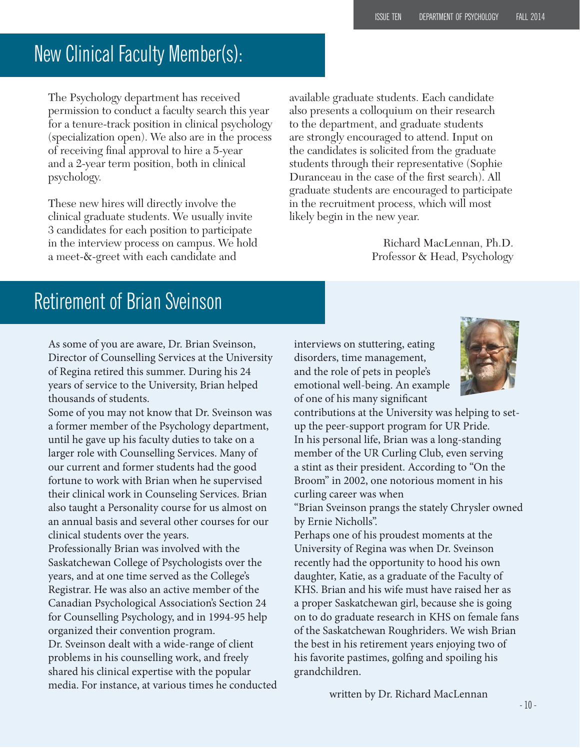### New Clinical Faculty Member(s):

The Psychology department has received permission to conduct a faculty search this year for a tenure-track position in clinical psychology (specialization open). We also are in the process of receiving final approval to hire a 5-year and a 2-year term position, both in clinical psychology.

These new hires will directly involve the clinical graduate students. We usually invite 3 candidates for each position to participate in the interview process on campus. We hold a meet-&-greet with each candidate and

available graduate students. Each candidate also presents a colloquium on their research to the department, and graduate students are strongly encouraged to attend. Input on the candidates is solicited from the graduate students through their representative (Sophie Duranceau in the case of the first search). All graduate students are encouraged to participate in the recruitment process, which will most likely begin in the new year.

> Richard MacLennan, Ph.D. Professor & Head, Psychology

### Retirement of Brian Sveinson

As some of you are aware, Dr. Brian Sveinson, Director of Counselling Services at the University of Regina retired this summer. During his 24 years of service to the University, Brian helped thousands of students.

Some of you may not know that Dr. Sveinson was a former member of the Psychology department, until he gave up his faculty duties to take on a larger role with Counselling Services. Many of our current and former students had the good fortune to work with Brian when he supervised their clinical work in Counseling Services. Brian also taught a Personality course for us almost on an annual basis and several other courses for our clinical students over the years.

Professionally Brian was involved with the Saskatchewan College of Psychologists over the years, and at one time served as the College's Registrar. He was also an active member of the Canadian Psychological Association's Section 24 for Counselling Psychology, and in 1994-95 help organized their convention program. Dr. Sveinson dealt with a wide-range of client problems in his counselling work, and freely shared his clinical expertise with the popular

media. For instance, at various times he conducted

interviews on stuttering, eating disorders, time management, and the role of pets in people's emotional well-being. An example of one of his many significant



contributions at the University was helping to setup the peer-support program for UR Pride. In his personal life, Brian was a long-standing member of the UR Curling Club, even serving a stint as their president. According to "On the Broom" in 2002, one notorious moment in his curling career was when

"Brian Sveinson prangs the stately Chrysler owned by Ernie Nicholls".

Perhaps one of his proudest moments at the University of Regina was when Dr. Sveinson recently had the opportunity to hood his own daughter, Katie, as a graduate of the Faculty of KHS. Brian and his wife must have raised her as a proper Saskatchewan girl, because she is going on to do graduate research in KHS on female fans of the Saskatchewan Roughriders. We wish Brian the best in his retirement years enjoying two of his favorite pastimes, golfing and spoiling his grandchildren.

written by Dr. Richard MacLennan